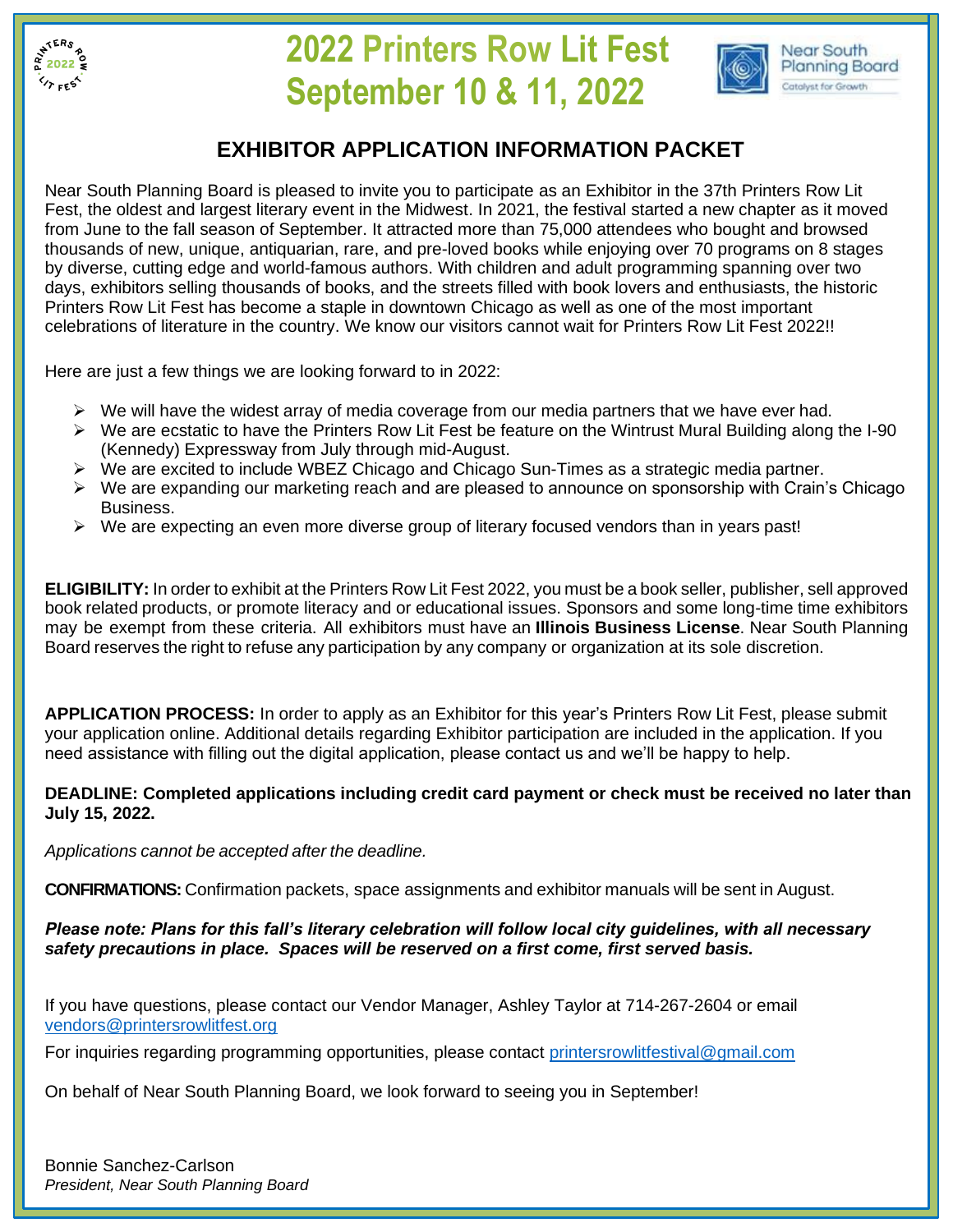

## **2022 Printers Row Lit Fest September 10 & 11, 2022**



## **EXHIBITOR APPLICATION INFORMATION PACKET**

Near South Planning Board is pleased to invite you to participate as an Exhibitor in the 37th Printers Row Lit Fest, the oldest and largest literary event in the Midwest. In 2021, the festival started a new chapter as it moved from June to the fall season of September. It attracted more than 75,000 attendees who bought and browsed thousands of new, unique, antiquarian, rare, and pre-loved books while enjoying over 70 programs on 8 stages by diverse, cutting edge and world-famous authors. With children and adult programming spanning over two days, exhibitors selling thousands of books, and the streets filled with book lovers and enthusiasts, the historic Printers Row Lit Fest has become a staple in downtown Chicago as well as one of the most important celebrations of literature in the country. We know our visitors cannot wait for Printers Row Lit Fest 2022!!

Here are just a few things we are looking forward to in 2022:

- $\triangleright$  We will have the widest array of media coverage from our media partners that we have ever had.
- ➢ We are ecstatic to have the Printers Row Lit Fest be feature on the Wintrust Mural Building along the I-90 (Kennedy) Expressway from July through mid-August.
- ➢ We are excited to include WBEZ Chicago and Chicago Sun-Times as a strategic media partner.
- ➢ We are expanding our marketing reach and are pleased to announce on sponsorship with Crain's Chicago Business.
- $\triangleright$  We are expecting an even more diverse group of literary focused vendors than in years past!

**ELIGIBILITY:** In order to exhibit at the Printers Row Lit Fest 2022, you must be a book seller, publisher, sell approved book related products, or promote literacy and or educational issues. Sponsors and some long-time time exhibitors may be exempt from these criteria. All exhibitors must have an **Illinois Business License**. Near South Planning Board reserves the right to refuse any participation by any company or organization at its sole discretion.

**APPLICATION PROCESS:** In order to apply as an Exhibitor for this year's Printers Row Lit Fest, please submit your application online. Additional details regarding Exhibitor participation are included in the application. If you need assistance with filling out the digital application, please contact us and we'll be happy to help.

## **DEADLINE: Completed applications including credit card payment or check must be received no later than July 15, 2022.**

*Applications cannot be accepted after the deadline.*

**CONFIRMATIONS:** Confirmation packets, space assignments and exhibitor manuals will be sent in August.

*Please note: Plans for this fall's literary celebration will follow local city guidelines, with all necessary safety precautions in place. Spaces will be reserved on a first come, first served basis.*

If you have questions, please contact our Vendor Manager, Ashley Taylor at 714-267-2604 or email [vendors@printersrowlitfest.org](mailto:vendors@printersrowlitfest.org)

For inquiries regarding programming opportunities, please contact [printersrowlitfestival@gmail.com](mailto:printersrowlitfestival@gmail.com)

On behalf of Near South Planning Board, we look forward to seeing you in September!

Bonnie Sanchez-Carlson *President, Near South Planning Board*